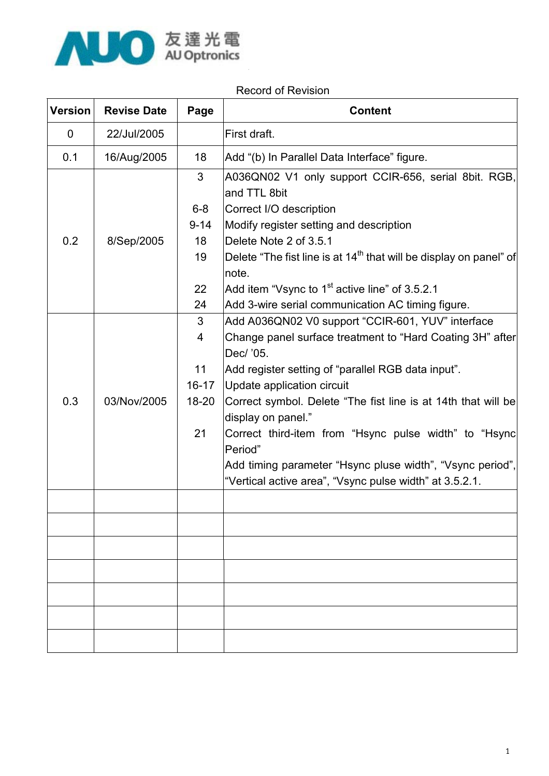

#### Record of Revision

| <b>Version</b> | <b>Revise Date</b> | Page      | <b>Content</b>                                                                                                       |
|----------------|--------------------|-----------|----------------------------------------------------------------------------------------------------------------------|
| 0              | 22/Jul/2005        |           | First draft.                                                                                                         |
| 0.1            | 16/Aug/2005        | 18        | Add "(b) In Parallel Data Interface" figure.                                                                         |
|                |                    | 3         | A036QN02 V1 only support CCIR-656, serial 8bit. RGB,<br>and TTL 8bit                                                 |
|                |                    | $6 - 8$   | Correct I/O description                                                                                              |
|                |                    | $9 - 14$  | Modify register setting and description                                                                              |
| 0.2            | 8/Sep/2005         | 18        | Delete Note 2 of 3.5.1                                                                                               |
|                |                    | 19        | Delete "The fist line is at 14 <sup>th</sup> that will be display on panel" of<br>note.                              |
|                |                    | 22        | Add item "Vsync to $1st$ active line" of 3.5.2.1                                                                     |
|                |                    | 24        | Add 3-wire serial communication AC timing figure.                                                                    |
|                |                    | 3         | Add A036QN02 V0 support "CCIR-601, YUV" interface                                                                    |
|                |                    | 4         | Change panel surface treatment to "Hard Coating 3H" after<br>Dec/ '05.                                               |
|                |                    | 11        | Add register setting of "parallel RGB data input".                                                                   |
|                |                    | $16 - 17$ | Update application circuit                                                                                           |
| 0.3            | 03/Nov/2005        | 18-20     | Correct symbol. Delete "The fist line is at 14th that will be<br>display on panel."                                  |
|                |                    | 21        | Correct third-item from "Hsync pulse width" to "Hsync<br>Period"                                                     |
|                |                    |           | Add timing parameter "Hsync pluse width", "Vsync period",<br>"Vertical active area", "Vsync pulse width" at 3.5.2.1. |
|                |                    |           |                                                                                                                      |
|                |                    |           |                                                                                                                      |
|                |                    |           |                                                                                                                      |
|                |                    |           |                                                                                                                      |
|                |                    |           |                                                                                                                      |
|                |                    |           |                                                                                                                      |
|                |                    |           |                                                                                                                      |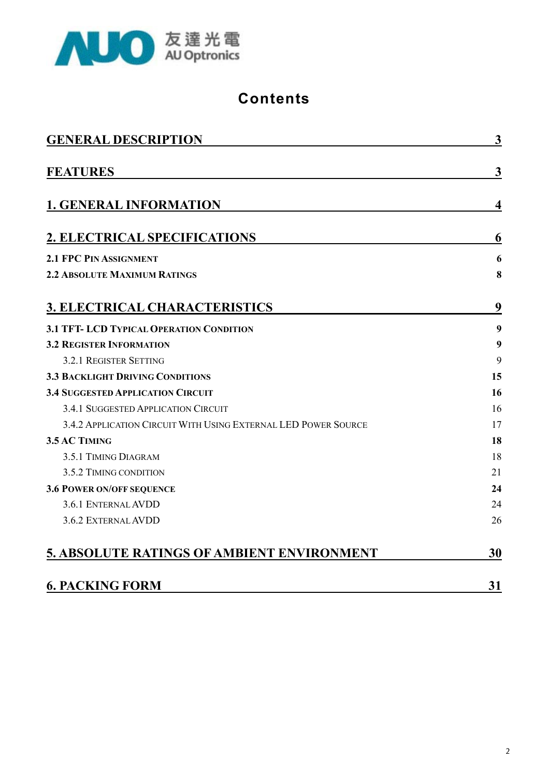

#### **Contents**

| <b>GENERAL DESCRIPTION</b>                                     |              |  |  |  |  |  |
|----------------------------------------------------------------|--------------|--|--|--|--|--|
| <b>FEATURES</b>                                                | $\mathbf{3}$ |  |  |  |  |  |
| <b>1. GENERAL INFORMATION</b>                                  | 4            |  |  |  |  |  |
| 2. ELECTRICAL SPECIFICATIONS                                   | 6            |  |  |  |  |  |
| 2.1 FPC PIN ASSIGNMENT                                         | 6            |  |  |  |  |  |
| <b>2.2 ABSOLUTE MAXIMUM RATINGS</b>                            | 8            |  |  |  |  |  |
| <b>3. ELECTRICAL CHARACTERISTICS</b>                           | 9            |  |  |  |  |  |
| 3.1 TFT- LCD TYPICAL OPERATION CONDITION                       | 9            |  |  |  |  |  |
| <b>3.2 REGISTER INFORMATION</b>                                | 9            |  |  |  |  |  |
| 3.2.1 REGISTER SETTING                                         | 9            |  |  |  |  |  |
| 3.3 BACKLIGHT DRIVING CONDITIONS                               | 15           |  |  |  |  |  |
| <b>3.4 SUGGESTED APPLICATION CIRCUIT</b>                       | 16           |  |  |  |  |  |
| 3.4.1 SUGGESTED APPLICATION CIRCUIT                            | 16           |  |  |  |  |  |
| 3.4.2 APPLICATION CIRCUIT WITH USING EXTERNAL LED POWER SOURCE | 17           |  |  |  |  |  |
| 3.5 AC TIMING                                                  | 18           |  |  |  |  |  |
| 3.5.1 TIMING DIAGRAM                                           | 18           |  |  |  |  |  |
| 3.5.2 TIMING CONDITION                                         | 21           |  |  |  |  |  |
| <b>3.6 POWER ON/OFF SEQUENCE</b>                               | 24           |  |  |  |  |  |
| 3.6.1 ENTERNAL AVDD                                            | 24           |  |  |  |  |  |
| 3.6.2 EXTERNAL AVDD                                            | 26           |  |  |  |  |  |
| <b>5. ABSOLUTE RATINGS OF AMBIENT ENVIRONMENT</b>              | 30           |  |  |  |  |  |
| <b>6. PACKING FORM</b>                                         | 31           |  |  |  |  |  |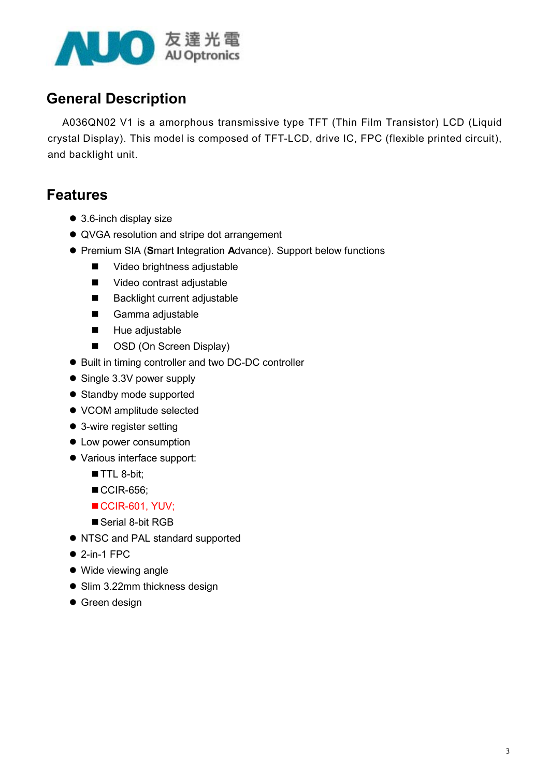

#### General Description

A036QN02 V1 is a amorphous transmissive type TFT (Thin Film Transistor) LCD (Liquid crystal Display). This model is composed of TFT-LCD, drive IC, FPC (flexible printed circuit), and backlight unit.

#### Features

- $\bullet$  3.6-inch display size
- QVGA resolution and stripe dot arrangement
- Premium SIA (Smart Integration Advance). Support below functions
	- Video brightness adjustable
	- Video contrast adjustable
	- Backlight current adjustable
	- Gamma adjustable
	- **Hue adjustable**
	- OSD (On Screen Display)
- Built in timing controller and two DC-DC controller
- $\bullet$  Single 3.3V power supply
- Standby mode supported
- VCOM amplitude selected
- $\bullet$  3-wire register setting
- Low power consumption
- Various interface support:
	- TTL 8-bit;
	- CCIR-656;
	- CCIR-601, YUV;
	- Serial 8-bit RGB
- NTSC and PAL standard supported
- $\bullet$  2-in-1 FPC
- $\bullet$  Wide viewing angle
- Slim 3.22mm thickness design
- $\bullet$  Green design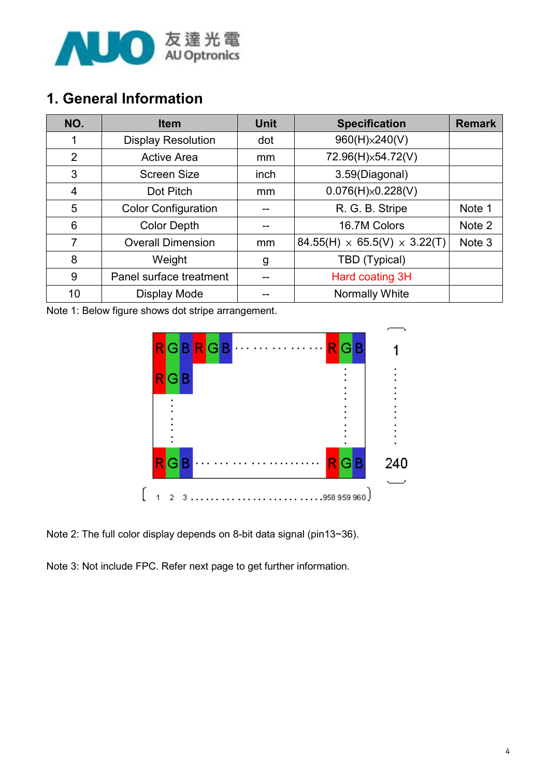

#### 1. General Information

| NO. | <b>Item</b>                | <b>Unit</b> | <b>Specification</b>                       | <b>Remark</b> |
|-----|----------------------------|-------------|--------------------------------------------|---------------|
| 1   | <b>Display Resolution</b>  | dot         | 960(H)×240(V)                              |               |
| 2   | <b>Active Area</b>         | mm.         | 72.96(H)x54.72(V)                          |               |
| 3   | <b>Screen Size</b>         | inch        | 3.59(Diagonal)                             |               |
| 4   | Dot Pitch                  | mm.         | $0.076(H)\times 0.228(V)$                  |               |
| 5   | <b>Color Configuration</b> |             | R. G. B. Stripe                            | Note 1        |
| 6   | <b>Color Depth</b>         |             | 16.7M Colors                               | Note 2        |
| 7   | <b>Overall Dimension</b>   | mm          | 84.55(H) $\times$ 65.5(V) $\times$ 3.22(T) | Note 3        |
| 8   | Weight                     | g           | TBD (Typical)                              |               |
| 9   | Panel surface treatment    |             | Hard coating 3H                            |               |
| 10  | Display Mode               |             | Normally White                             |               |

Note 1: Below figure shows dot stripe arrangement.



Note 2: The full color display depends on 8-bit data signal (pin13~36).

Note 3: Not include FPC. Refer next page to get further information.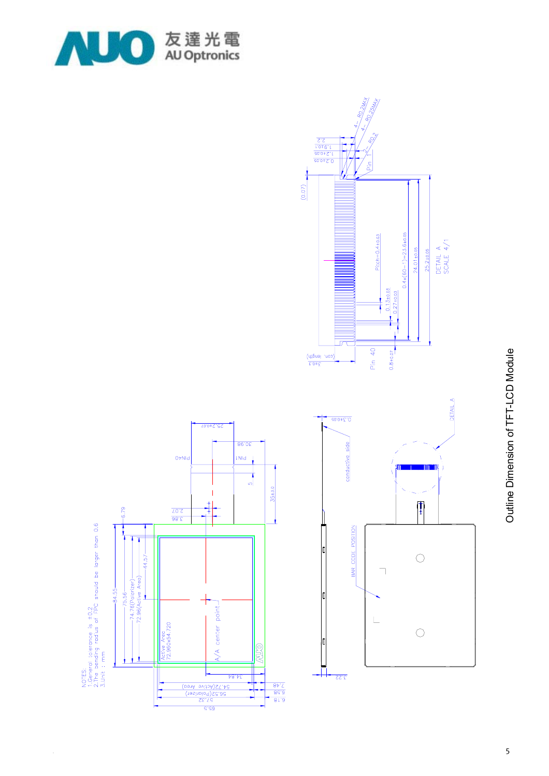

 $0\nmid N$ 

 $\frac{\partial 8.\xi}{\sqrt{0.2}}$ 

Active Area<br>72.960x54.720

 $-6.79$ 

 $-44.57-$ 

—74.76(Polarizer)——<br>-72.96(Active Area)—

 $-84.55 75.56 -$ 

NOTES:<br>1.Geneting radius of FPC should be larger than 0.6<br>3.Unit : mm



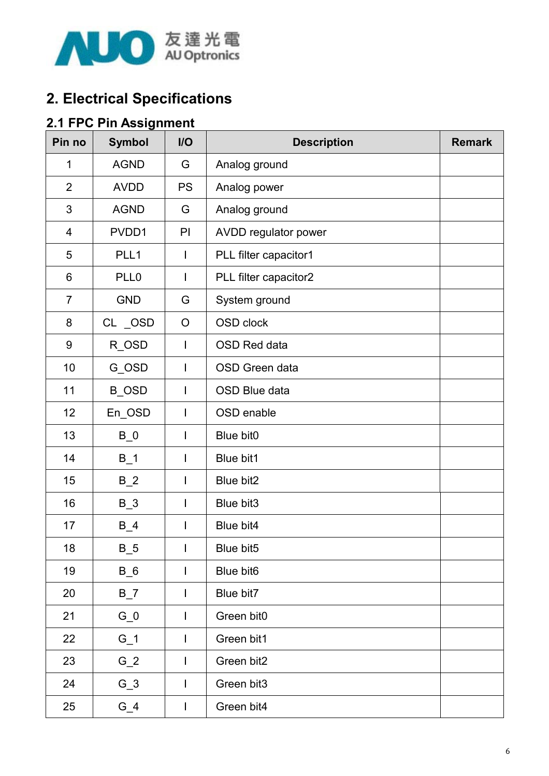

#### 2. Electrical Specifications

#### 2.1 FPC Pin Assignment

| Pin no         | <b>Symbol</b>    | $II$           | <b>Description</b>    | <b>Remark</b> |
|----------------|------------------|----------------|-----------------------|---------------|
| 1              | <b>AGND</b>      | G              | Analog ground         |               |
| $\overline{2}$ | <b>AVDD</b>      | <b>PS</b>      | Analog power          |               |
| 3              | <b>AGND</b>      | G              | Analog ground         |               |
| $\overline{4}$ | PVDD1            | PI             | AVDD regulator power  |               |
| 5              | PLL1             | T              | PLL filter capacitor1 |               |
| 6              | PLL <sub>0</sub> | T              | PLL filter capacitor2 |               |
| $\overline{7}$ | <b>GND</b>       | G              | System ground         |               |
| 8              | CL _OSD          | $\circ$        | OSD clock             |               |
| 9              | R_OSD            | $\mathbf{I}$   | <b>OSD Red data</b>   |               |
| 10             | G_OSD            | $\mathsf{I}$   | OSD Green data        |               |
| 11             | <b>B_OSD</b>     | T              | OSD Blue data         |               |
| 12             | En_OSD           | $\mathbf{I}$   | OSD enable            |               |
| 13             | $B_0$            | $\mathsf{I}$   | Blue bit0             |               |
| 14             | $B_1$            |                | Blue bit1             |               |
| 15             | $B_2$            | I              | Blue bit2             |               |
| 16             | $B_3$            |                | Blue bit3             |               |
| 17             | $B_4$            |                | Blue bit4             |               |
| 18             | $B_5$            | Ш              | Blue bit5             |               |
| 19             | $B_6$            | Ш              | Blue bit6             |               |
| 20             | $B_7$            | ı              | Blue bit7             |               |
| 21             | $G_0$            | L              | Green bit0            |               |
| 22             | $G_1$            | L              | Green bit1            |               |
| 23             | $G_2$            | I              | Green bit2            |               |
| 24             | $G_3$            | $\overline{1}$ | Green bit3            |               |
| 25             | $G_4$            | I              | Green bit4            |               |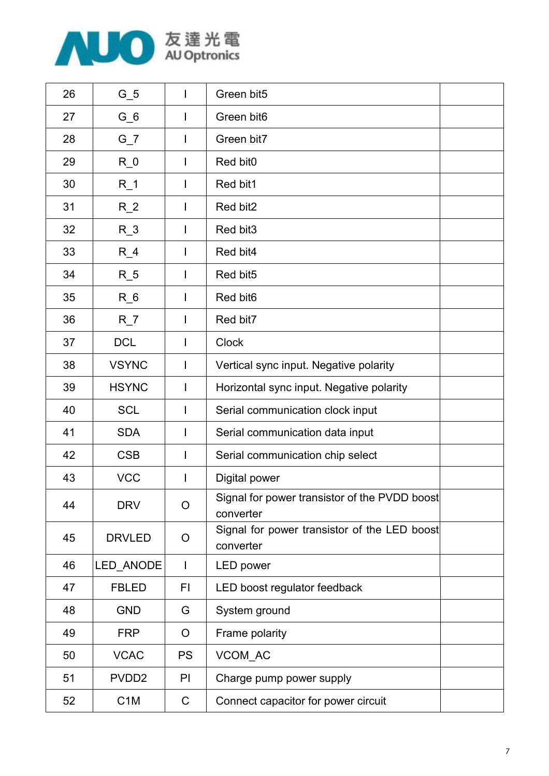

| 26 | $G_5$             | L              | Green bit5                                                 |  |
|----|-------------------|----------------|------------------------------------------------------------|--|
| 27 | $G_6$             | I              | Green bit6                                                 |  |
| 28 | $G_7$             | I              | Green bit7                                                 |  |
| 29 | $R_0$             | $\mathbf{I}$   | Red bit0                                                   |  |
| 30 | $R_1$             | L              | Red bit1                                                   |  |
| 31 | $R_2$             | $\mathbf{I}$   | Red bit2                                                   |  |
| 32 | $R_3$             | $\mathbf{I}$   | Red bit3                                                   |  |
| 33 | $R_4$             | $\mathbf{I}$   | Red bit4                                                   |  |
| 34 | $R_{-}5$          | ı              | Red bit5                                                   |  |
| 35 | $R_6$             |                | Red bit <sub>6</sub>                                       |  |
| 36 | $R_7$             |                | Red bit7                                                   |  |
| 37 | <b>DCL</b>        |                | <b>Clock</b>                                               |  |
| 38 | <b>VSYNC</b>      | $\overline{1}$ | Vertical sync input. Negative polarity                     |  |
| 39 | <b>HSYNC</b>      | $\mathbf{I}$   | Horizontal sync input. Negative polarity                   |  |
| 40 | <b>SCL</b>        |                | Serial communication clock input                           |  |
| 41 | <b>SDA</b>        |                | Serial communication data input                            |  |
| 42 | <b>CSB</b>        |                | Serial communication chip select                           |  |
| 43 | <b>VCC</b>        | I              | Digital power                                              |  |
| 44 | <b>DRV</b>        | O              | Signal for power transistor of the PVDD boost<br>converter |  |
| 45 | <b>DRVLED</b>     | O              | Signal for power transistor of the LED boost<br>converter  |  |
| 46 | LED_ANODE         | $\mathbf{I}$   | LED power                                                  |  |
| 47 | <b>FBLED</b>      | FI             | LED boost regulator feedback                               |  |
| 48 | <b>GND</b>        | G              | System ground                                              |  |
| 49 | <b>FRP</b>        | $\circ$        | Frame polarity                                             |  |
| 50 | <b>VCAC</b>       | <b>PS</b>      | VCOM_AC                                                    |  |
| 51 | PVDD <sub>2</sub> | PI             | Charge pump power supply                                   |  |
| 52 | C <sub>1</sub> M  | $\mathsf C$    | Connect capacitor for power circuit                        |  |
|    |                   |                |                                                            |  |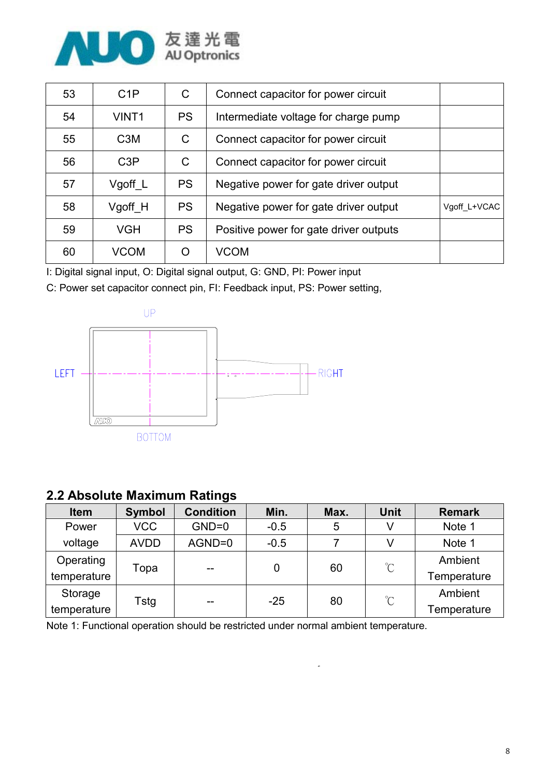

| 53 | C1P               | C         | Connect capacitor for power circuit    |              |
|----|-------------------|-----------|----------------------------------------|--------------|
| 54 | VINT <sub>1</sub> | <b>PS</b> | Intermediate voltage for charge pump   |              |
| 55 | C <sub>3</sub> M  | C         | Connect capacitor for power circuit    |              |
| 56 | C3P               | C         | Connect capacitor for power circuit    |              |
| 57 | Vgoff L           | <b>PS</b> | Negative power for gate driver output  |              |
| 58 | Vgoff H           | <b>PS</b> | Negative power for gate driver output  | Vgoff L+VCAC |
| 59 | <b>VGH</b>        | <b>PS</b> | Positive power for gate driver outputs |              |
| 60 | <b>VCOM</b>       | O         | VCOM                                   |              |

I: Digital signal input, O: Digital signal output, G: GND, PI: Power input

C: Power set capacitor connect pin, FI: Feedback input, PS: Power setting,



#### 2.2 Absolute Maximum Ratings

| <b>Item</b> | <b>Symbol</b> | <b>Condition</b> | Min.   | Max. | <b>Unit</b>          | <b>Remark</b> |
|-------------|---------------|------------------|--------|------|----------------------|---------------|
| Power       | <b>VCC</b>    | $GND=0$          | $-0.5$ | 5    | V                    | Note 1        |
| voltage     | <b>AVDD</b>   | AGND=0           | $-0.5$ |      |                      | Note 1        |
| Operating   |               |                  |        | 60   | $\mathrm{C}^{\circ}$ | Ambient       |
| temperature | 0<br>Topa     |                  |        |      | Temperature          |               |
| Storage     |               |                  | $-25$  |      | $\mathrm{C}^{\circ}$ | Ambient       |
| temperature | Tstg<br>--    |                  |        | 80   |                      | Temperature   |

Note 1: Functional operation should be restricted under normal ambient temperature.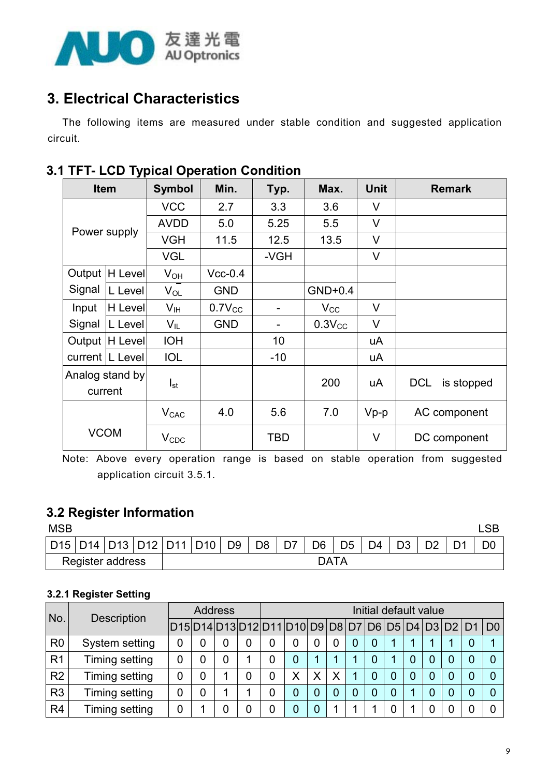

#### 3. Electrical Characteristics

The following items are measured under stable condition and suggested application circuit.

|              | . .<br><b>Item</b> | <b>Symbol</b>   | Min.        | Typ.                     | Max.         | <b>Unit</b> | <b>Remark</b>            |
|--------------|--------------------|-----------------|-------------|--------------------------|--------------|-------------|--------------------------|
|              |                    | <b>VCC</b>      | 2.7         | 3.3                      | 3.6          | $\vee$      |                          |
| Power supply |                    | <b>AVDD</b>     | 5.0         | 5.25                     | 5.5          | $\vee$      |                          |
|              |                    | <b>VGH</b>      | 11.5        | 12.5                     | 13.5         | $\vee$      |                          |
|              |                    | <b>VGL</b>      |             | -VGH                     |              | $\vee$      |                          |
| Output       | H Level            | $V_{OH}$        | $Vcc-0.4$   |                          |              |             |                          |
| Signal       | L Level            | $V_{OL}$        | <b>GND</b>  |                          | $GND+0.4$    |             |                          |
| Input        | H Level            | V <sub>IH</sub> | $0.7V_{CC}$ | $\overline{\phantom{a}}$ | $V_{\rm CC}$ | $\vee$      |                          |
| Signal       | L Level            | $V_{IL}$        | <b>GND</b>  | $\overline{\phantom{a}}$ | $0.3V_{CC}$  | $\vee$      |                          |
|              | Output  H Level    | <b>IOH</b>      |             | 10                       |              | uA          |                          |
|              | current   L Level  | <b>IOL</b>      |             | $-10$                    |              | uA          |                          |
|              | Analog stand by    |                 |             |                          | 200          | uA          | <b>DCL</b><br>is stopped |
|              | current            | $I_{st}$        |             |                          |              |             |                          |
|              |                    | $V_{CAC}$       | 4.0         | 5.6                      | 7.0          | $Vp-p$      | AC component             |
|              | <b>VCOM</b>        | $V_{CDC}$       |             | <b>TBD</b>               |              | V           | DC component             |

#### 3.1 TFT- LCD Typical Operation Condition

Note: Above every operation range is based on stable operation from suggested application circuit 3.5.1.

#### 3.2 Register Information

| <b>MSB</b> |                  |  |                                   |                |                |    |                |                |                |                |  |  |
|------------|------------------|--|-----------------------------------|----------------|----------------|----|----------------|----------------|----------------|----------------|--|--|
|            |                  |  | D15   D14   D13   D12   D11   D10 | D <sub>9</sub> | D <sub>8</sub> | D7 | D <sub>6</sub> | D <sub>5</sub> | D <sub>4</sub> | D <sub>3</sub> |  |  |
|            | Register address |  |                                   |                |                |    | <b>DATA</b>    |                |                |                |  |  |

#### 3.2.1 Register Setting

|                | No.<br><b>Description</b> |  | <b>Address</b> |  |  |  | Initial default value                              |   |   |  |   |   |  |  |   |  |                |
|----------------|---------------------------|--|----------------|--|--|--|----------------------------------------------------|---|---|--|---|---|--|--|---|--|----------------|
|                |                           |  |                |  |  |  | D15 D14 D13 D12 D11 D10 D9 D8 D7 D6 D5 D4 D3 D2 D1 |   |   |  |   |   |  |  |   |  | D <sub>0</sub> |
| R <sub>0</sub> | System setting            |  |                |  |  |  | 0                                                  | 0 |   |  | 0 |   |  |  |   |  |                |
| R <sub>1</sub> | Timing setting            |  |                |  |  |  | 0                                                  | 1 |   |  | 0 |   |  |  | 0 |  |                |
| R <sub>2</sub> | Timing setting            |  |                |  |  |  | Χ                                                  | Χ | Χ |  | 0 | 0 |  |  | 0 |  |                |
| R <sub>3</sub> | Timing setting            |  |                |  |  |  | 0                                                  | 0 |   |  | 0 | 0 |  |  | 0 |  |                |
| R <sub>4</sub> | Timing setting            |  |                |  |  |  |                                                    | 0 |   |  |   |   |  |  |   |  |                |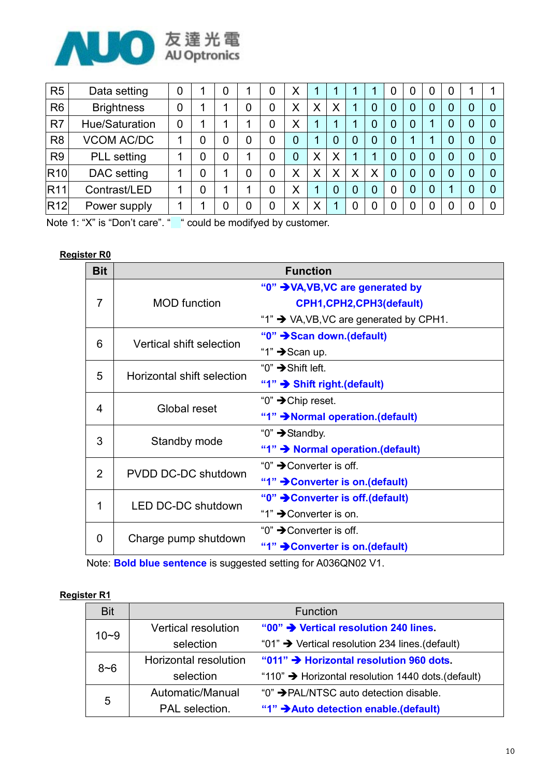

| R <sub>5</sub>  | Data setting      | $\overline{0}$ |   |   | 0 | X              |   |   |   |   | 0 | 0 | 0 |                |  |
|-----------------|-------------------|----------------|---|---|---|----------------|---|---|---|---|---|---|---|----------------|--|
| R <sub>6</sub>  | <b>Brightness</b> | 0              |   |   | 0 | X              | Χ |   |   | 0 | O | U | 0 | 0              |  |
| R7              | Hue/Saturation    | 0              |   | л | 0 | Χ              |   |   |   |   | 0 |   | 0 | 0              |  |
| R <sub>8</sub>  | <b>VCOM AC/DC</b> |                | 0 |   | 0 | $\overline{0}$ |   |   | 0 | 0 | 0 |   | 0 | $\overline{0}$ |  |
| R <sub>9</sub>  | PLL setting       |                | 0 |   | 0 | $\overline{0}$ | Χ | X |   | л | 0 | 0 | 0 | 0              |  |
| <b>R10</b>      | DAC setting       |                | 0 |   | 0 | Χ              | Χ |   | Χ | Χ | 0 | 0 | 0 | 0              |  |
| <b>R11</b>      | Contrast/LED      |                | 0 |   | 0 | Χ              | 1 |   | 0 |   | 0 | 0 | 1 | $\overline{0}$ |  |
| R <sub>12</sub> | Power supply      |                |   |   | 0 | Χ              | Χ |   | 0 | 0 | O |   | 0 | 0              |  |

Note 1: "X" is "Don't care". " " could be modifyed by customer.

#### Register R0

| <b>Bit</b>     |                            | <b>Function</b>                                     |
|----------------|----------------------------|-----------------------------------------------------|
|                |                            | "0" > VA, VB, VC are generated by                   |
| 7              | <b>MOD</b> function        | CPH1, CPH2, CPH3 (default)                          |
|                |                            | "1" $\rightarrow$ VA, VB, VC are generated by CPH1. |
| 6              | Vertical shift selection   | "0" → Scan down.(default)                           |
|                |                            | "1" $\rightarrow$ Scan up.                          |
| 5              | Horizontal shift selection | "0" $\rightarrow$ Shift left.                       |
|                |                            | "1" → Shift right.(default)                         |
| 4              | Global reset               | "0" $\rightarrow$ Chip reset.                       |
|                |                            | "1" → Normal operation. (default)                   |
| 3              | Standby mode               | "0" $\rightarrow$ Standby.                          |
|                |                            | "1" $\rightarrow$ Normal operation. (default)       |
| $\overline{2}$ | PVDD DC-DC shutdown        | "0" $\rightarrow$ Converter is off.                 |
|                |                            | "1" → Converter is on. (default)                    |
| 1              | LED DC-DC shutdown         | "0" → Converter is off.(default)                    |
|                |                            | "1" → Converter is on.                              |
| 0              | Charge pump shutdown       | "0" $\rightarrow$ Converter is off.                 |
|                |                            | "1" → Converter is on. (default)                    |

Note: Bold blue sentence is suggested setting for A036QN02 V1.

#### Register R1

| <b>Bit</b> |                              | <b>Function</b>                                                |
|------------|------------------------------|----------------------------------------------------------------|
| $10 - 9$   | <b>Vertical resolution</b>   | "00" > Vertical resolution 240 lines                           |
|            | selection                    | "01" $\rightarrow$ Vertical resolution 234 lines. (default)    |
| $8 - 6$    | <b>Horizontal resolution</b> | "011" → Horizontal resolution 960 dots.                        |
|            | selection                    | "110" $\rightarrow$ Horizontal resolution 1440 dots. (default) |
| 5          | Automatic/Manual             | "0" → PAL/NTSC auto detection disable.                         |
|            | PAL selection.               | "1" Auto detection enable.(default)                            |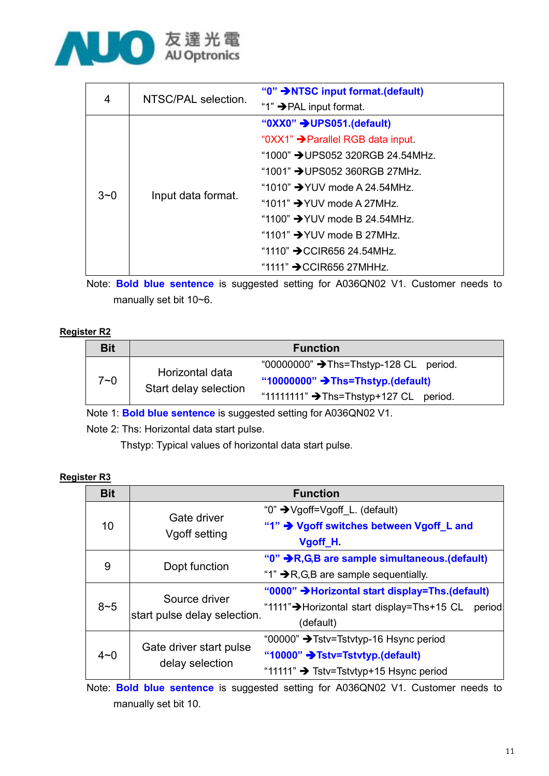

|         | NTSC/PAL selection. | "0" INTSC input format. (default)            |
|---------|---------------------|----------------------------------------------|
| 4       |                     | "1" $\rightarrow$ PAL input format.          |
|         | Input data format.  | " $0$ XX0" $\rightarrow$ UPS051.(default)    |
|         |                     | "0XX1" → Parallel RGB data input.            |
|         |                     | "1000" $\rightarrow$ UPS052 320RGB 24.54MHz. |
| $3 - 0$ |                     | "1001" → UPS052 360RGB 27MHz.                |
|         |                     | "1010" $\rightarrow$ YUV mode A 24.54MHz.    |
|         |                     | "1011" $\rightarrow$ YUV mode A 27MHz.       |
|         |                     | "1100" $\rightarrow$ YUV mode B 24.54MHz.    |
|         |                     | "1101" $\rightarrow$ YUV mode B 27MHz.       |
|         |                     | "1110" $\rightarrow$ CCIR656 24.54MHz.       |
|         |                     | "1111" $\rightarrow$ CCIR656 27MHHz.         |

Note: Bold blue sentence is suggested setting for A036QN02 V1. Customer needs to manually set bit 10~6.

#### Register R2

| <b>Bit</b> |                                          | <b>Function</b>                                    |
|------------|------------------------------------------|----------------------------------------------------|
| $7 - 0$    | Horizontal data<br>Start delay selection | "00000000" → Ths=Thstyp-128 CL period.             |
|            |                                          | "10000000" $\rightarrow$ Ths=Thstyp.(default)      |
|            |                                          | "11111111" $\rightarrow$ Ths=Thstyp+127 CL period. |

Note 1: Bold blue sentence is suggested setting for A036QN02 V1.

Note 2: Ths: Horizontal data start pulse.

Thstyp: Typical values of horizontal data start pulse.

#### Register R3

| <b>Bit</b> |                                               | <b>Function</b>                                       |
|------------|-----------------------------------------------|-------------------------------------------------------|
|            | Gate driver<br>Vgoff setting                  | "0" → Vgoff=Vgoff_L. (default)                        |
| 10         |                                               | "1" → Vgoff switches between Vgoff L and              |
|            |                                               | Vgoff H                                               |
| 9          | Dopt function                                 | "0" R,G,B are sample simultaneous.(default)           |
|            |                                               | "1" $\rightarrow$ R, G, B are sample sequentially.    |
|            | Source driver<br>start pulse delay selection. | "0000" >Horizontal start display=Ths.(default)        |
| $8 - 5$    |                                               | "1111" → Horizontal start display=Ths+15 CL<br>period |
|            |                                               | (default)                                             |
|            | Gate driver start pulse<br>delay selection    | "00000" → Tstv=Tstvtyp-16 Hsync period                |
| $4 - 0$    |                                               | "10000" → Tstv=Tstvtyp.(default)                      |
|            |                                               | "11111" $\rightarrow$ Tstv=Tstvtyp+15 Hsync period    |

Note: Bold blue sentence is suggested setting for A036QN02 V1. Customer needs to manually set bit 10.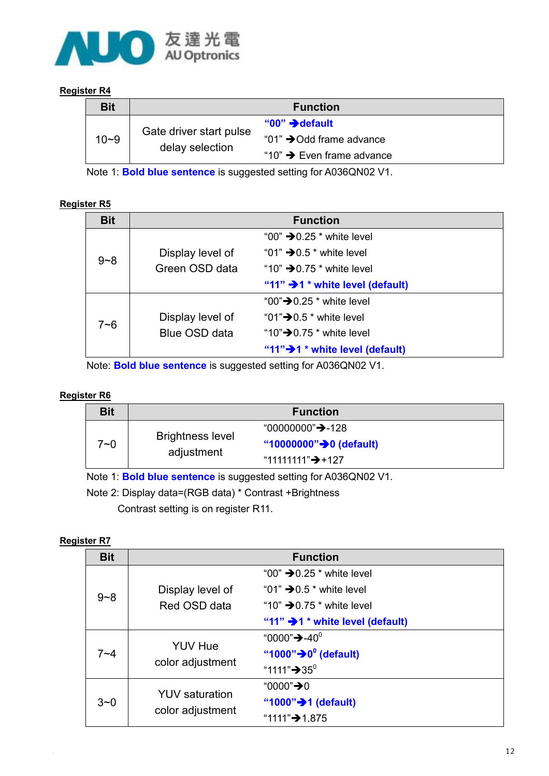

#### Register R4

| <b>Bit</b> |                                            | <b>Function</b>                       |
|------------|--------------------------------------------|---------------------------------------|
| $10 - 9$   | Gate driver start pulse<br>delay selection | " $00" \rightarrow$ default           |
|            |                                            | "01" $\rightarrow$ Odd frame advance  |
|            |                                            | "10" $\rightarrow$ Even frame advance |

Note 1: Bold blue sentence is suggested setting for A036QN02 V1.

#### Register R5

| <b>Bit</b> |                      | <b>Function</b>                              |
|------------|----------------------|----------------------------------------------|
|            |                      | "00" $\rightarrow$ 0.25 $^*$ white level     |
| $9 - 8$    | Display level of     | "01" $\rightarrow$ 0.5 $^*$ white level      |
|            | Green OSD data       | "10" $\rightarrow$ 0.75 $^*$ white level     |
|            |                      | "11" $\rightarrow$ 1 * white level (default) |
|            |                      | "00" $\rightarrow$ 0.25 $^*$ white level     |
| $7 - 6$    | Display level of     | "01" $\rightarrow$ 0.5 $^*$ white level      |
|            | <b>Blue OSD data</b> | "10" $\rightarrow$ 0.75 $^*$ white level     |
|            |                      | "11" $\rightarrow$ 1 * white level (default) |

Note: Bold blue sentence is suggested setting for A036QN02 V1.

#### Register R6

| <b>Bit</b>                                                                |                                       | <b>Function</b>                      |
|---------------------------------------------------------------------------|---------------------------------------|--------------------------------------|
| 7~0                                                                       | <b>Brightness level</b><br>adjustment | "00000000" <b>→</b> -128             |
|                                                                           |                                       | "10000000" $\rightarrow$ 0 (default) |
|                                                                           |                                       | "11111111" $\rightarrow$ +127        |
| Note 1: <b>Delal blue equipment</b> is quagested potting for A0000NI00 V4 |                                       |                                      |

Note 1: Bold blue sentence is suggested setting for A036QN02 V1.

Note 2: Display data=(RGB data) \* Contrast +Brightness

Contrast setting is on register R11.

#### Register R7

| <b>Bit</b> |                                           | <b>Function</b>                              |
|------------|-------------------------------------------|----------------------------------------------|
|            |                                           | "00" $\rightarrow$ 0.25 $*$ white level      |
| $9 - 8$    | Display level of                          | "01" $\rightarrow$ 0.5 $^*$ white level      |
|            | Red OSD data                              | "10" $\rightarrow$ 0.75 $^*$ white level     |
|            |                                           | "11" $\rightarrow$ 1 * white level (default) |
|            | <b>YUV Hue</b><br>color adjustment        | "0000" $\rightarrow$ -40 $^{\circ}$          |
| $7 - 4$    |                                           | "1000" $\rightarrow 0^{\circ}$ (default)     |
|            |                                           | "1111" $\rightarrow 35^{\circ}$              |
|            | <b>YUV</b> saturation<br>color adjustment | "0000"→0                                     |
| $3 - 0$    |                                           | "1000" $\rightarrow$ 1 (default)             |
|            |                                           | "1111" <b>→</b> 1.875                        |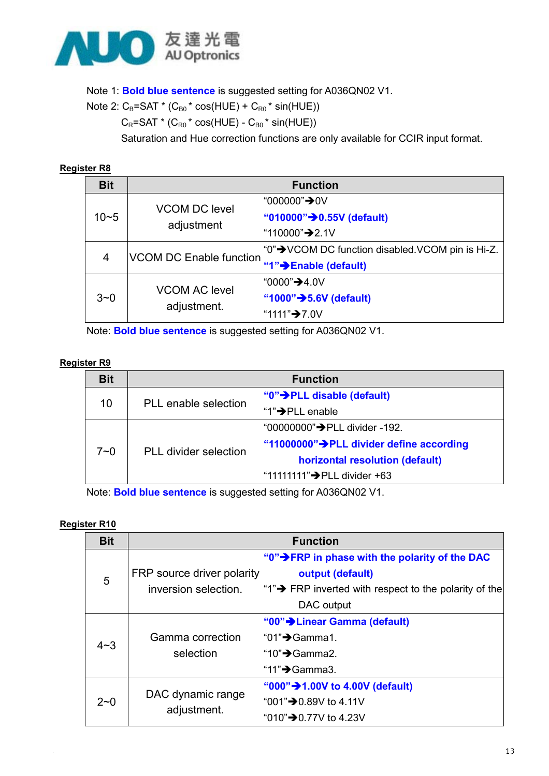

Note 1: Bold blue sentence is suggested setting for A036QN02 V1.

Note 2:  $C_B = SAT * (C_{B0} * cos(HUE) + C_{R0} * sin(HUE))$ 

 $C_R$ =SAT \* ( $C_{R0}$  \* cos(HUE) -  $C_{B0}$  \* sin(HUE))

Saturation and Hue correction functions are only available for CCIR input format.

#### Register R8

| <b>Bit</b> |                                     | <b>Function</b>                                  |
|------------|-------------------------------------|--------------------------------------------------|
|            | <b>VCOM DC level</b><br>adjustment  | "000000" <b>→</b> 0V                             |
| $10 - 5$   |                                     | "010000" → 0.55V (default)                       |
|            |                                     | "110000" <b>→</b> 2.1V                           |
| 4          | <b>VCOM DC Enable function</b>      | "0"→ VCOM DC function disabled VCOM pin is Hi-Z. |
|            |                                     | "1"→Enable (default)                             |
| $3 - 0$    | <b>VCOM AC level</b><br>adjustment. | "0000" <b>→</b> 4.0V                             |
|            |                                     | "1000" $\rightarrow$ 5.6V (default)              |
|            |                                     | "1111" <b>→</b> 7.0V                             |

Note: Bold blue sentence is suggested setting for A036QN02 V1.

#### Register R9

| <b>Bit</b> |                              | <b>Function</b>                             |
|------------|------------------------------|---------------------------------------------|
|            | PLL enable selection         | " $0$ " $\rightarrow$ PLL disable (default) |
| 10         |                              | "1" $\rightarrow$ PLL enable                |
| 7~0        | <b>PLL</b> divider selection | "00000000"→PLL divider -192.                |
|            |                              | "11000000">PLL divider define according     |
|            |                              | horizontal resolution (default)             |
|            |                              | "11111111" $\rightarrow$ PLL divider +63    |

Note: Bold blue sentence is suggested setting for A036QN02 V1.

#### Register R10

| <b>Bit</b> |                            | <b>Function</b>                                                    |
|------------|----------------------------|--------------------------------------------------------------------|
|            |                            | "0" > FRP in phase with the polarity of the DAC                    |
| 5          | FRP source driver polarity | output (default)                                                   |
|            | inversion selection.       | "1" $\rightarrow$ FRP inverted with respect to the polarity of the |
|            |                            | DAC output                                                         |
|            |                            | "00" > Linear Gamma (default)                                      |
| $4 - 3$    | Gamma correction           | "01" $\rightarrow$ Gamma1.                                         |
|            | selection                  | "10" $\rightarrow$ Gamma2.                                         |
|            |                            | "11" <b>→</b> Gamma3.                                              |
| $2 - 0$    | DAC dynamic range          | "000" > 1.00V to 4.00V (default)                                   |
|            |                            | "001" <b>→</b> 0.89V to 4.11V                                      |
|            | adjustment.                | "010" <b>→</b> 0.77V to 4.23V                                      |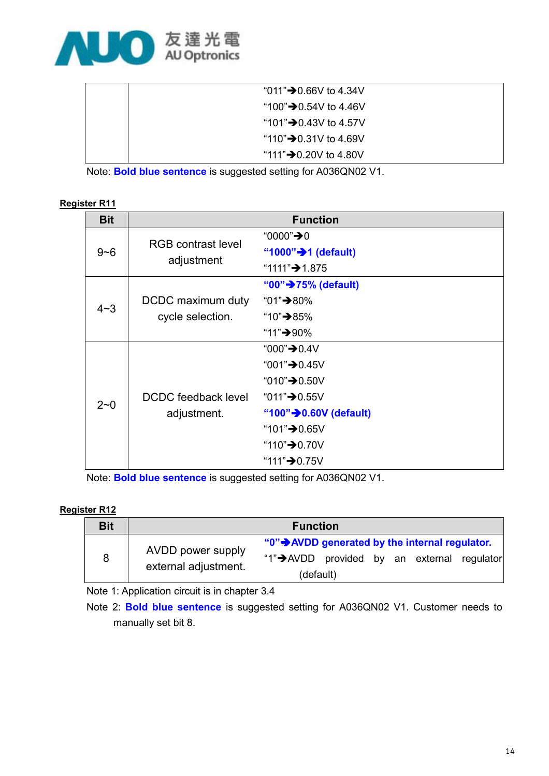

| "011" <b>→</b> 0.66V to 4.34V      |
|------------------------------------|
| "100" <b>→</b> 0.54V to 4.46V      |
| "101" $\rightarrow$ 0.43V to 4.57V |
| "110" $\rightarrow$ 0.31V to 4.69V |
| "111" <b>→</b> 0.20V to 4.80V      |

Note: Bold blue sentence is suggested setting for A036QN02 V1.

#### Register R11

| <b>Bit</b> | <b>Function</b>           |                                     |  |  |  |  |
|------------|---------------------------|-------------------------------------|--|--|--|--|
|            | <b>RGB</b> contrast level | "0000" <b>→</b> 0                   |  |  |  |  |
| $9 - 6$    |                           | "1000" $\rightarrow$ 1 (default)    |  |  |  |  |
|            | adjustment                | "1111" <b>→</b> 1.875               |  |  |  |  |
|            |                           | "00" <b>→</b> 75% (default)         |  |  |  |  |
| $4 - 3$    | DCDC maximum duty         | "01"→80%                            |  |  |  |  |
|            | cycle selection.          | "10"→85%                            |  |  |  |  |
|            |                           | "11"→90%                            |  |  |  |  |
|            |                           | "000" <b>→</b> 0.4V                 |  |  |  |  |
|            |                           | "001" $\bigstar$ 0.45V              |  |  |  |  |
|            |                           | "010" <b>→</b> 0.50V                |  |  |  |  |
| $2 - 0$    | DCDC feedback level       | "011" <b>→</b> 0.55V                |  |  |  |  |
|            | adjustment.               | "100" $\rightarrow$ 0.60V (default) |  |  |  |  |
|            |                           | "101" <b>→</b> 0.65V                |  |  |  |  |
|            |                           | "110" $\rightarrow$ 0.70V           |  |  |  |  |
|            |                           | "111" <b>→</b> 0.75V                |  |  |  |  |

Note: Bold blue sentence is suggested setting for A036QN02 V1.

#### Register R12

| <b>Bit</b> | <b>Function</b>      |                                                 |  |  |  |  |  |
|------------|----------------------|-------------------------------------------------|--|--|--|--|--|
|            | AVDD power supply    | "0" > AVDD generated by the internal regulator. |  |  |  |  |  |
| 8          | external adjustment. | "1">AVDD provided by an external regulator      |  |  |  |  |  |
|            |                      | (default)                                       |  |  |  |  |  |

Note 1: Application circuit is in chapter 3.4

Note 2: Bold blue sentence is suggested setting for A036QN02 V1. Customer needs to manually set bit 8.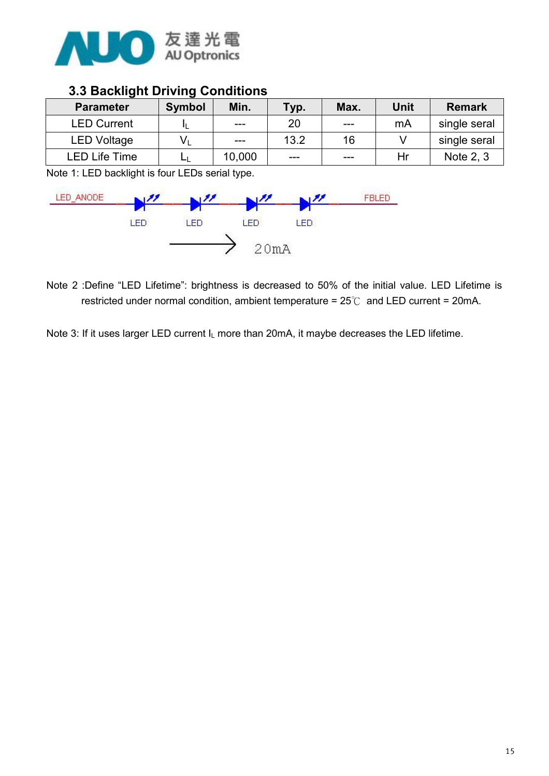

#### 3.3 Backlight Driving Conditions

| <b>Parameter</b>     | <b>Symbol</b> | Min.   | Typ. | Max.    | Unit | <b>Remark</b> |
|----------------------|---------------|--------|------|---------|------|---------------|
| <b>LED Current</b>   |               | ---    | 20   | $- - -$ | mA   | single seral  |
| LED Voltage          | Vı            | ---    | 13.2 | 16      |      | single seral  |
| <b>LED Life Time</b> | ᅴ             | 10,000 | ---  | ---     | Hr   | Note 2, 3     |

Note 1: LED backlight is four LEDs serial type.



Note 2 :Define "LED Lifetime": brightness is decreased to 50% of the initial value. LED Lifetime is restricted under normal condition, ambient temperature =  $25^{\circ}$  and LED current = 20mA.

Note 3: If it uses larger LED current I<sub>L</sub> more than 20mA, it maybe decreases the LED lifetime.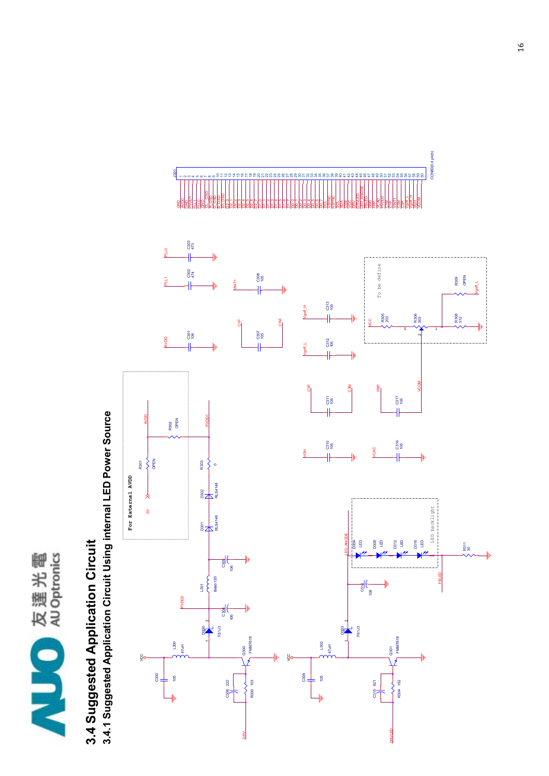

## 3.4 Suggested Application Circuit 3.4 Suggested Application Circuit

3.4.1 Suggested Application Circuit Using internal LED Power Source 3.4.1 Suggested Application Circuit Using internal LED Power Source

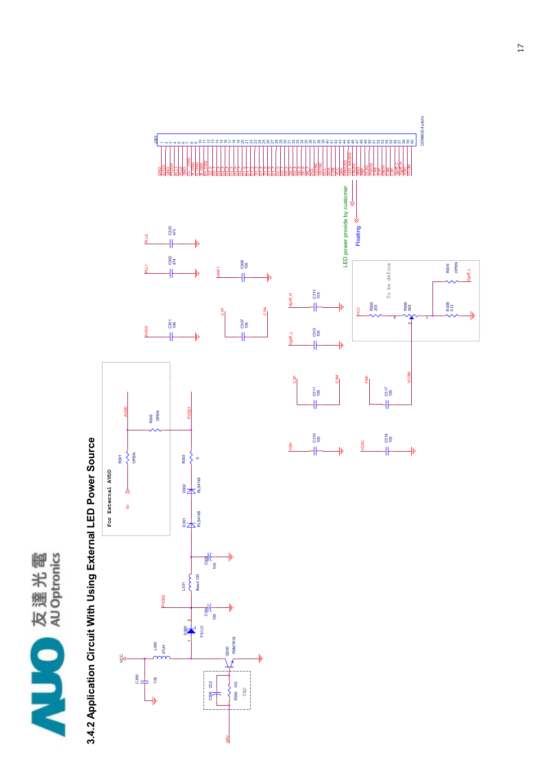

# 3.4.2 Application Circuit With Using External LED Power Source 3.4.2 Application Circuit With Using External LED Power Source

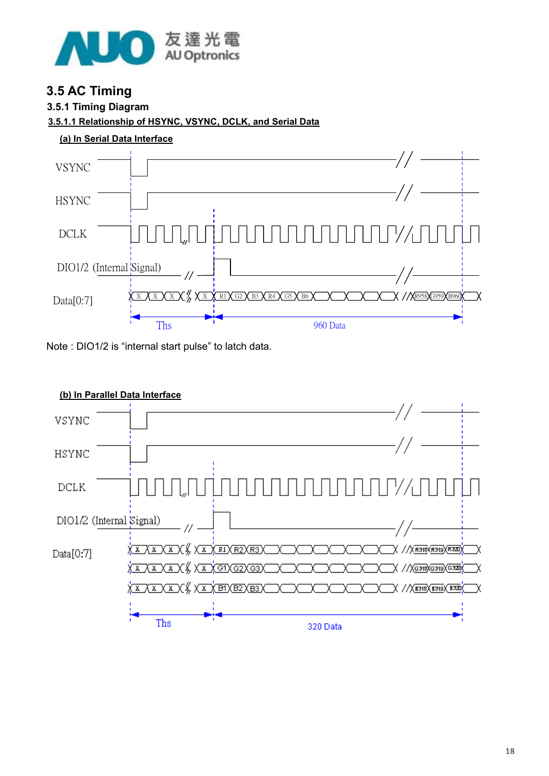

#### 3.5 AC Timing

#### 3.5.1 Timing Diagram

#### 3.5.1.1 Relationship of HSYNC, VSYNC, DCLK, and Serial Data





Note : DIO1/2 is "internal start pulse" to latch data.



#### (b) In Parallel Data Interface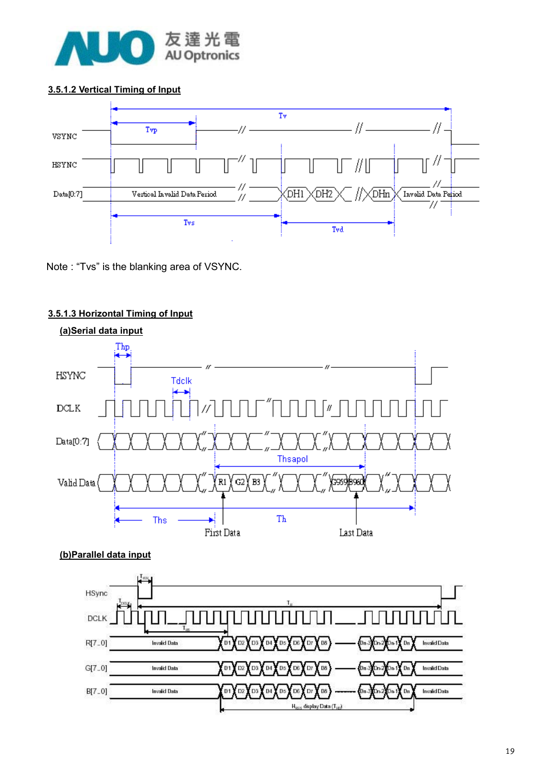

#### 3.5.1.2 Vertical Timing of Input



Note : "Tvs" is the blanking area of VSYNC.



#### 3.5.1.3 Horizontal Timing of Input

#### (b)Parallel data input

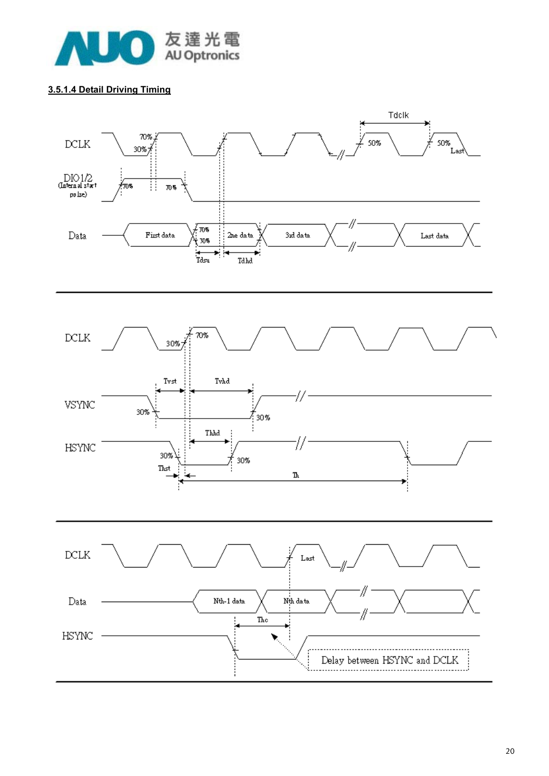

#### 3.5.1.4 Detail Driving Timing

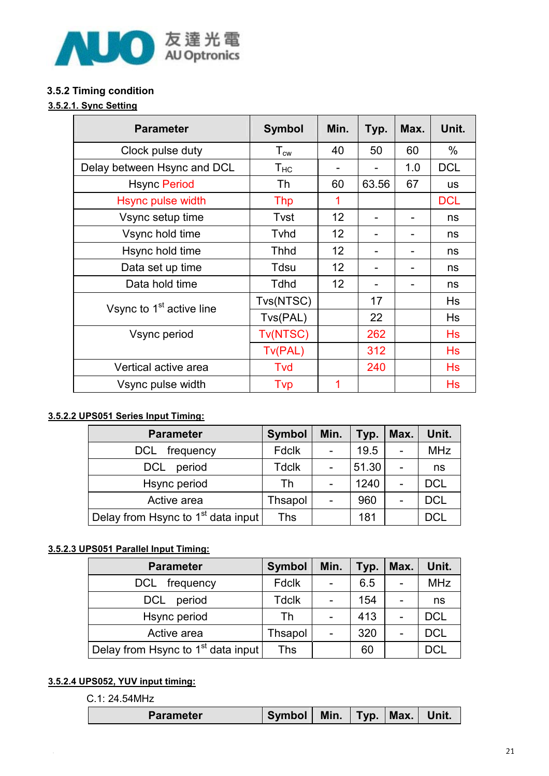

#### 3.5.2 Timing condition

#### 3.5.2.1. Sync Setting

| <b>Parameter</b>                     | <b>Symbol</b>     | Min. | Typ.  | Max. | Unit.      |
|--------------------------------------|-------------------|------|-------|------|------------|
| Clock pulse duty                     | $T_{\mathsf{cw}}$ | 40   | 50    | 60   | $\%$       |
| Delay between Hsync and DCL          | $T_{HC}$          |      |       | 1.0  | <b>DCL</b> |
| <b>Hsync Period</b>                  | Th                | 60   | 63.56 | 67   | <b>us</b>  |
| Hsync pulse width                    | <b>Thp</b>        | 1    |       |      | <b>DCL</b> |
| Vsync setup time                     | Tvst              | 12   |       |      | ns         |
| Vsync hold time                      | Tyhd              | 12   |       |      | ns         |
| Hsync hold time                      | <b>Thhd</b>       | 12   |       |      | ns         |
| Data set up time                     | Tdsu              | 12   |       |      | ns         |
| Data hold time                       | <b>Tdhd</b>       | 12   |       |      | ns         |
| Vsync to 1 <sup>st</sup> active line | Tvs(NTSC)         |      | 17    |      | <b>Hs</b>  |
|                                      | Tvs(PAL)          |      | 22    |      | Hs         |
| Vsync period                         | Tv(NTSC)          |      | 262   |      | Hs         |
|                                      | Tv(PAL)           |      | 312   |      | Hs         |
| Vertical active area                 | <b>Tvd</b>        |      | 240   |      | Hs         |
| Vsync pulse width                    | Tvp               | 1    |       |      | Hs         |

#### 3.5.2.2 UPS051 Series Input Timing:

| <b>Parameter</b>                               | <b>Symbol</b> | Min. | Typ.  | Max. | Unit.      |
|------------------------------------------------|---------------|------|-------|------|------------|
| frequency<br>DCL                               | Fdclk         |      | 19.5  |      | <b>MHz</b> |
| <b>DCL</b><br>period                           | Tdclk         |      | 51.30 |      | ns         |
| Hsync period                                   | Th            |      | 1240  |      | <b>DCL</b> |
| Active area                                    | Thsapol       | -    | 960   |      | <b>DCL</b> |
| Delay from Hsync to 1 <sup>st</sup> data input | Ths           |      | 181   |      | <b>DCL</b> |

#### 3.5.2.3 UPS051 Parallel Input Timing:

| <b>Parameter</b>                     | <b>Symbol</b> | Min. | Typ. | Max. | Unit.      |
|--------------------------------------|---------------|------|------|------|------------|
| frequency<br><b>DCL</b>              | <b>Fdclk</b>  |      | 6.5  |      | <b>MHz</b> |
| <b>DCL</b><br>period                 | <b>Tdclk</b>  |      | 154  |      | ns         |
| Hsync period                         | Th            |      | 413  | -    | <b>DCL</b> |
| Active area                          | Thsapol       |      | 320  |      | <b>DCL</b> |
| Delay from Hsync to $1st$ data input | Ths           |      | 60   |      | <b>DCL</b> |

#### 3.5.2.4 UPS052, YUV input timing:

C.1: 24.54MHz

| Parameter | <b>Symbol</b> | Min. | Typ. | Max. | Unit. |
|-----------|---------------|------|------|------|-------|
|           |               |      |      |      |       |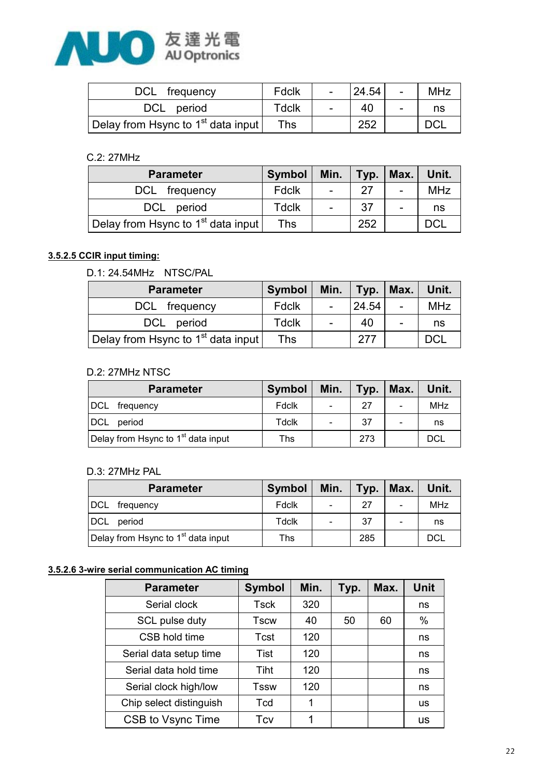

| DCL frequency                        | Fdclk        | $\sim$ | 24.54 | $\sim$ | <b>MHz</b> |
|--------------------------------------|--------------|--------|-------|--------|------------|
| DCL period                           | <b>Tdclk</b> |        | 40    |        | ns         |
| Delay from Hsync to $1st$ data input | Ths          |        | 252   |        | DCL        |

#### C.2: 27MHz

| <b>Parameter</b>                               | <b>Symbol</b> |                | Min.   Typ.   Max. |   | Unit.      |
|------------------------------------------------|---------------|----------------|--------------------|---|------------|
| DCL frequency                                  | <b>Fdclk</b>  | $\blacksquare$ | 27                 |   | <b>MHz</b> |
| DCL period                                     | <b>Tdclk</b>  | $\blacksquare$ | -37                | - | ns         |
| Delay from Hsync to 1 <sup>st</sup> data input | <b>Ths</b>    |                | 252                |   | DCl        |

#### 3.5.2.5 CCIR input timing:

#### D.1: 24.54MHz NTSC/PAL

| <b>Parameter</b>                               | <b>Symbol</b> | Min.   | $ $ Typ. $ $ | Max.                     | Unit.      |
|------------------------------------------------|---------------|--------|--------------|--------------------------|------------|
| DCL frequency                                  | Fdclk         | $\sim$ | 24.54        |                          | <b>MHz</b> |
| DCL period                                     | <b>Tdclk</b>  | $\sim$ | 40           | $\overline{\phantom{a}}$ | ns         |
| Delay from Hsync to 1 <sup>st</sup> data input | Ths           |        | 277          |                          | <b>DCL</b> |

#### D.2: 27MHz NTSC

| <b>Parameter</b>                               | Symbol | Min.                     | Typ. | Max.                     | Unit.      |
|------------------------------------------------|--------|--------------------------|------|--------------------------|------------|
| DCL<br>frequency                               | Fdclk  | $\overline{\phantom{a}}$ | 27   | $\overline{\phantom{a}}$ | <b>MHz</b> |
| DCL<br>period                                  | Tdclk  |                          | 37   |                          | ns         |
| Delay from Hsync to 1 <sup>st</sup> data input | Ths    |                          | 273  |                          | DCL        |

#### D.3: 27MHz PAL

|               | <b>Parameter</b>                               | <b>Symbol</b> | Min. | Typ. | Max.                     | Unit.      |
|---------------|------------------------------------------------|---------------|------|------|--------------------------|------------|
| DCL frequency |                                                | Fdclk         |      | 27   | $\overline{\phantom{a}}$ | <b>MHz</b> |
| DCL           | period                                         | Tdclk         |      | 37   | $\overline{\phantom{a}}$ | ns         |
|               | Delay from Hsync to 1 <sup>st</sup> data input | Ths           |      | 285  |                          | <b>DCL</b> |

#### 3.5.2.6 3-wire serial communication AC timing

| <b>Parameter</b>        | <b>Symbol</b> | Min. | Typ. | Max. | <b>Unit</b> |
|-------------------------|---------------|------|------|------|-------------|
| Serial clock            | <b>Tsck</b>   | 320  |      |      | ns          |
| SCL pulse duty          | <b>Tscw</b>   | 40   | 50   | 60   | $\%$        |
| CSB hold time           | Tcst          | 120  |      |      | ns          |
| Serial data setup time  | Tist          | 120  |      |      | ns          |
| Serial data hold time   | Tiht          | 120  |      |      | ns          |
| Serial clock high/low   | Tssw          | 120  |      |      | ns          |
| Chip select distinguish | Tcd           | 1    |      |      | us          |
| CSB to Vsync Time       | Tcv           |      |      |      | us          |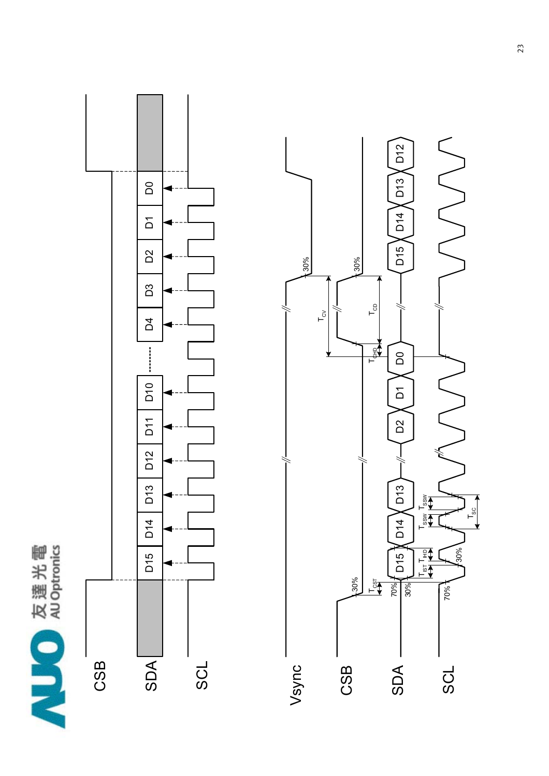



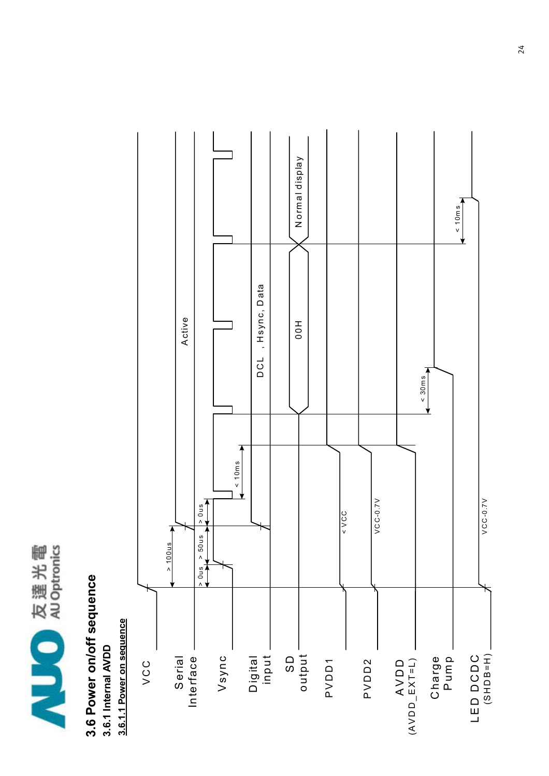

### 3.6 Power on/off sequence 3.6 Power on/off sequence 3.6.1 Internal AVDD 3.6.1 Internal AVDD

3.6.1.1 Power on sequence 3.6.1.1 Power on sequence

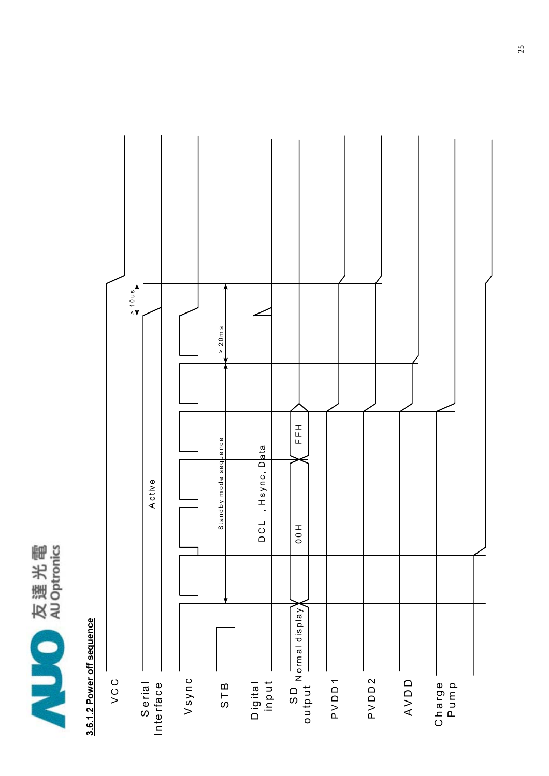

## 3.6.1.2 Power off sequence 3.6.1.2 Power off sequence

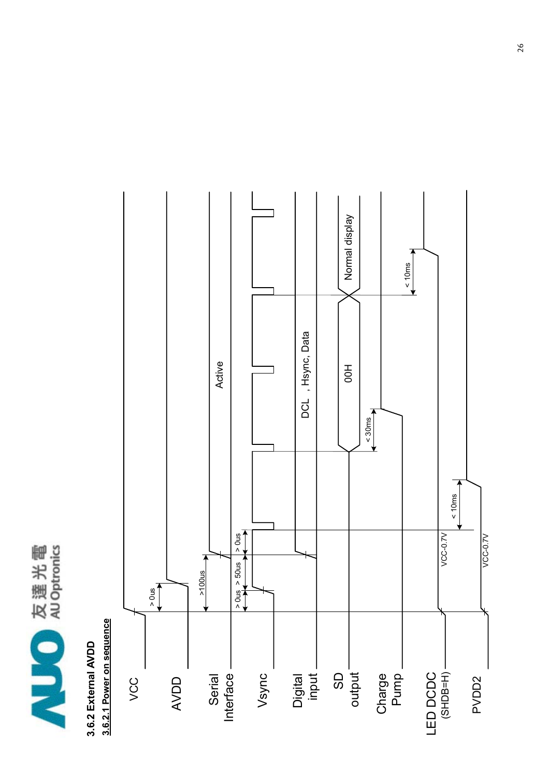

## 3.6.2 External AVDD 3.6.2 External AVDD



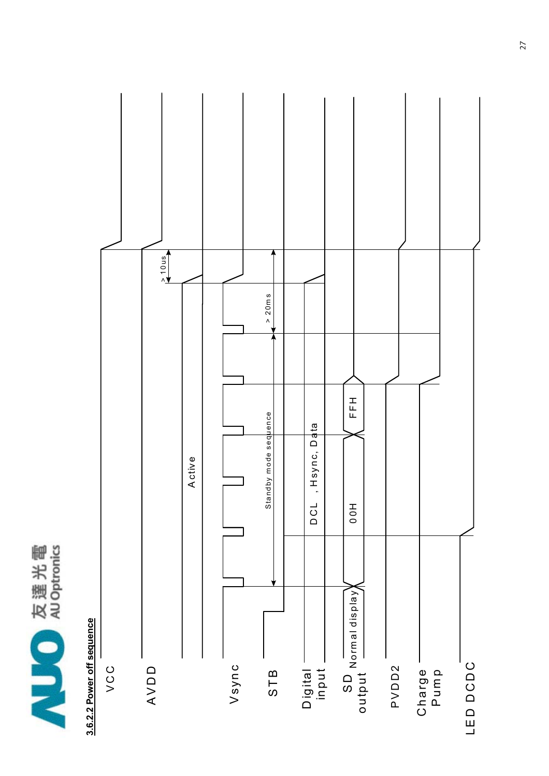

## 3.6.2.2 Power off sequence 3.6.2.2 Power off sequence

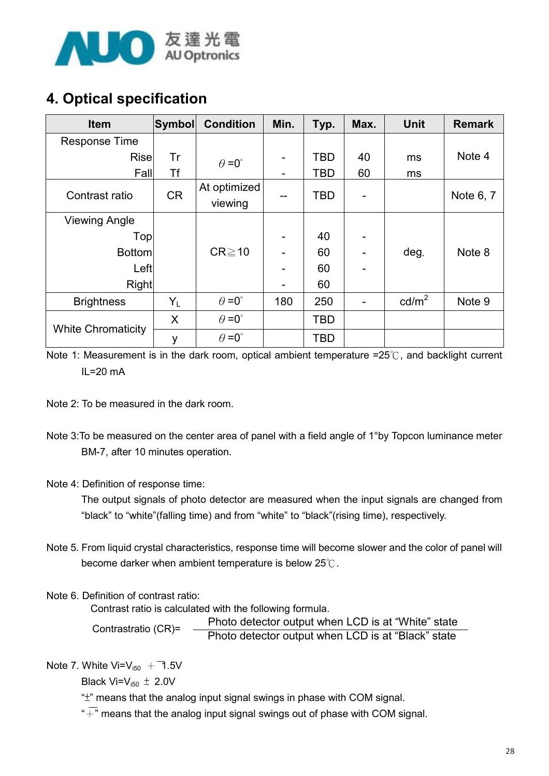

#### 4. Optical specification

| <b>Item</b>               | Symbol    | <b>Condition</b>        | Min. | Typ.       | Max. | <b>Unit</b>     | <b>Remark</b> |
|---------------------------|-----------|-------------------------|------|------------|------|-----------------|---------------|
| <b>Response Time</b>      |           |                         |      |            |      |                 |               |
| <b>Rise</b>               | Tr        | $\theta = 0^{\circ}$    |      | <b>TBD</b> | 40   | ms              | Note 4        |
| Fall                      | Τf        |                         |      | TBD        | 60   | ms              |               |
| Contrast ratio            | <b>CR</b> | At optimized<br>viewing |      | TBD        |      |                 | Note 6, 7     |
| <b>Viewing Angle</b>      |           |                         |      |            |      |                 |               |
| Top                       |           |                         |      | 40         |      |                 |               |
| <b>Bottom</b>             |           | $CR \ge 10$             |      | 60         |      | deg.            | Note 8        |
| Left                      |           |                         |      | 60         |      |                 |               |
| Right                     |           |                         |      | 60         |      |                 |               |
| <b>Brightness</b>         | $Y_L$     | $\theta = 0^{\circ}$    | 180  | 250        |      | $\text{cd/m}^2$ | Note 9        |
| <b>White Chromaticity</b> | X         | $\theta = 0^{\circ}$    |      | TBD        |      |                 |               |
|                           | у         | $\theta = 0^{\circ}$    |      | TBD        |      |                 |               |

Note 1: Measurement is in the dark room, optical ambient temperature =25 $\degree$ C, and backlight current IL=20 mA

Note 2: To be measured in the dark room.

- Note 3:To be measured on the center area of panel with a field angle of 1°by Topcon luminance meter BM-7, after 10 minutes operation.
- Note 4: Definition of response time:

 The output signals of photo detector are measured when the input signals are changed from "black" to "white"(falling time) and from "white" to "black"(rising time), respectively.

- Note 5. From liquid crystal characteristics, response time will become slower and the color of panel will become darker when ambient temperature is below  $25^\circ$ .
- Note 6. Definition of contrast ratio:

Contrast ratio is calculated with the following formula.

 Photo detector output when LCD is at "White" state Photo detector output when LCD is at "Black" state Contrastratio (CR)=

Note 7. White  $Vi=V_{150} + 1.5V$ 

Black Vi= $V_{i50} \pm 2.0V$ 

"̈́" means that the analog input signal swings in phase with COM signal.

 $\overline{a}^*$  means that the analog input signal swings out of phase with COM signal.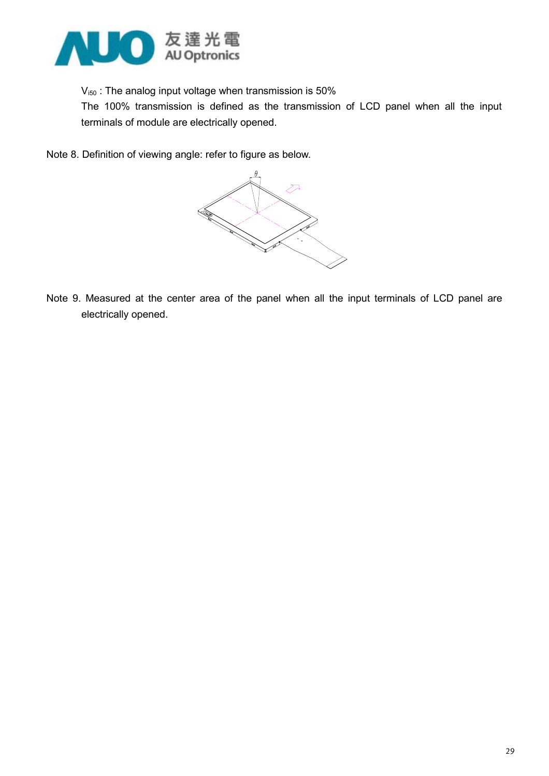

 $V_{150}$ : The analog input voltage when transmission is 50%

 The 100% transmission is defined as the transmission of LCD panel when all the input terminals of module are electrically opened.

Note 8. Definition of viewing angle: refer to figure as below.



Note 9. Measured at the center area of the panel when all the input terminals of LCD panel are electrically opened.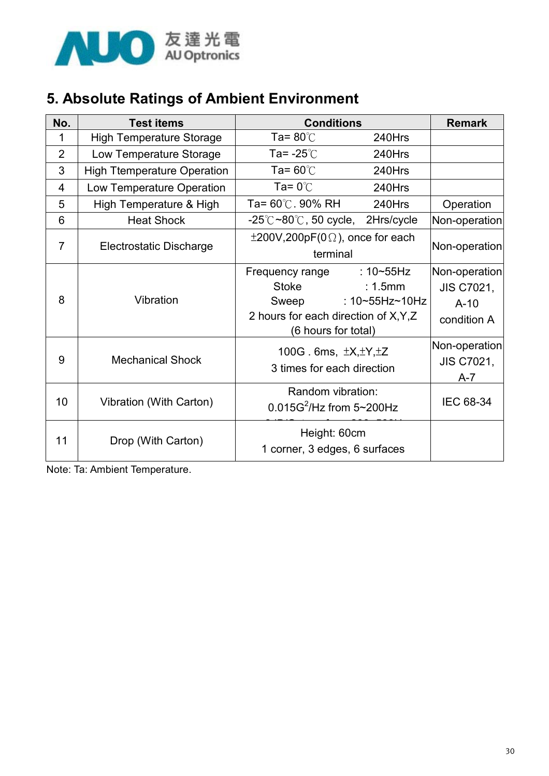

#### 5. Absolute Ratings of Ambient Environment

| No.            | <b>Test items</b>                  | <b>Conditions</b>                                                                                 | <b>Remark</b>                                                  |                                                             |
|----------------|------------------------------------|---------------------------------------------------------------------------------------------------|----------------------------------------------------------------|-------------------------------------------------------------|
| 1              | <b>High Temperature Storage</b>    | Ta= $80^{\circ}$ C                                                                                | 240Hrs                                                         |                                                             |
| 2              | Low Temperature Storage            | Ta= $-25^\circ$ C                                                                                 | 240Hrs                                                         |                                                             |
| 3              | <b>High Ttemperature Operation</b> | Ta= $60^{\circ}$ C                                                                                | 240Hrs                                                         |                                                             |
| 4              | Low Temperature Operation          | Ta= $0^{\circ}$ C                                                                                 | 240Hrs                                                         |                                                             |
| 5              | High Temperature & High            | Ta= $60^{\circ}$ C. 90% RH                                                                        | 240Hrs                                                         | Operation                                                   |
| 6              | <b>Heat Shock</b>                  | -25℃ <b>~80℃, 50 cycle,</b>                                                                       | 2Hrs/cycle                                                     | Non-operation                                               |
| $\overline{7}$ | <b>Electrostatic Discharge</b>     | $\pm 200V, 200pF(0\Omega)$ , once for each<br>terminal                                            | Non-operation                                                  |                                                             |
| 8              | Vibration                          | Frequency range<br>Stoke<br>Sweep<br>2 hours for each direction of X, Y, Z<br>(6 hours for total) | $:10 \times 55$ Hz<br>$: 1.5$ mm<br>: $10 - 55$ Hz $\sim$ 10Hz | Non-operation<br><b>JIS C7021,</b><br>$A-10$<br>condition A |
| 9              | <b>Mechanical Shock</b>            | 100G. 6ms, $\pm X, \pm Y, \pm Z$<br>3 times for each direction                                    |                                                                | Non-operation<br><b>JIS C7021,</b><br>$A - 7$               |
| 10             | Vibration (With Carton)            | Random vibration:<br>0.015G <sup>2</sup> /Hz from 5~200Hz                                         |                                                                | IEC 68-34                                                   |
| 11             | Drop (With Carton)                 | Height: 60cm<br>1 corner, 3 edges, 6 surfaces                                                     |                                                                |                                                             |

Note: Ta: Ambient Temperature.